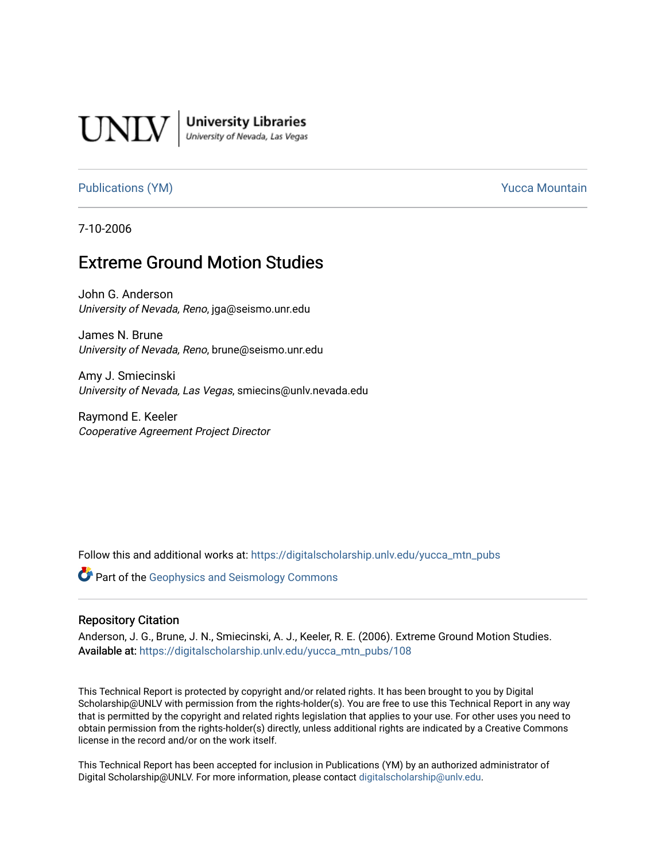

**University Libraries**<br>University of Nevada, Las Vegas

[Publications \(YM\)](https://digitalscholarship.unlv.edu/yucca_mtn_pubs) **Publications** (YM) **Publications** (YM)

7-10-2006

# Extreme Ground Motion Studies

John G. Anderson University of Nevada, Reno, jga@seismo.unr.edu

James N. Brune University of Nevada, Reno, brune@seismo.unr.edu

Amy J. Smiecinski University of Nevada, Las Vegas, smiecins@unlv.nevada.edu

Raymond E. Keeler Cooperative Agreement Project Director

Follow this and additional works at: [https://digitalscholarship.unlv.edu/yucca\\_mtn\\_pubs](https://digitalscholarship.unlv.edu/yucca_mtn_pubs?utm_source=digitalscholarship.unlv.edu%2Fyucca_mtn_pubs%2F108&utm_medium=PDF&utm_campaign=PDFCoverPages)

**Part of the Geophysics and Seismology Commons** 

#### Repository Citation

Anderson, J. G., Brune, J. N., Smiecinski, A. J., Keeler, R. E. (2006). Extreme Ground Motion Studies. Available at: [https://digitalscholarship.unlv.edu/yucca\\_mtn\\_pubs/108](https://digitalscholarship.unlv.edu/yucca_mtn_pubs/108) 

This Technical Report is protected by copyright and/or related rights. It has been brought to you by Digital Scholarship@UNLV with permission from the rights-holder(s). You are free to use this Technical Report in any way that is permitted by the copyright and related rights legislation that applies to your use. For other uses you need to obtain permission from the rights-holder(s) directly, unless additional rights are indicated by a Creative Commons license in the record and/or on the work itself.

This Technical Report has been accepted for inclusion in Publications (YM) by an authorized administrator of Digital Scholarship@UNLV. For more information, please contact [digitalscholarship@unlv.edu](mailto:digitalscholarship@unlv.edu).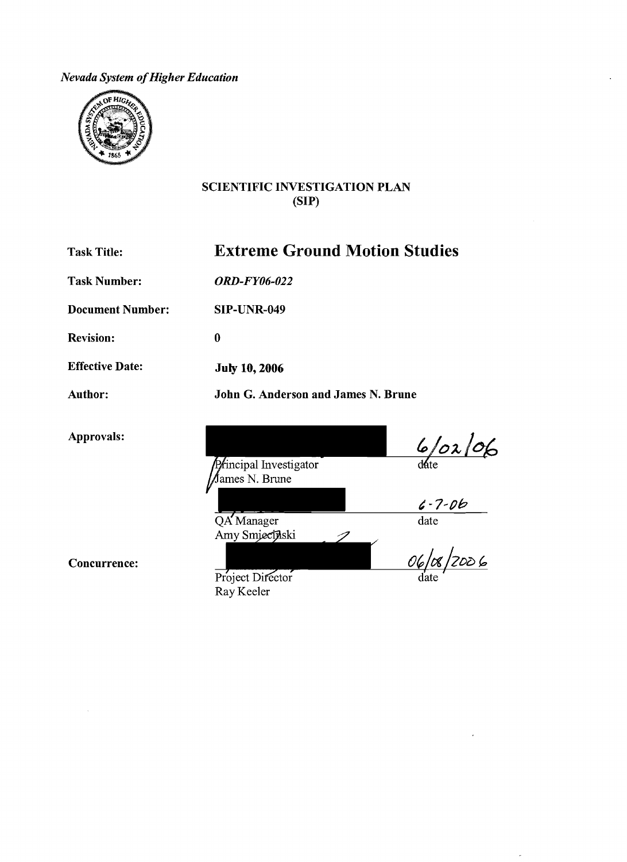*Nevada System of Higher Education* 



### SCIENTIFIC INVESTIGATION PLAN (SIP)

Task Title:

Extreme Ground Motion Studies

John G. Anderson and James N. Brune

İ

Task Number: *ORD-FY06-022* 

Document Number:

Revision:

Effective Date:

Author:

Approvals:

Principal Investigator ∮ames N. Brune

 $6/02/06$ 

date

 $\frac{1}{\text{date}}$ 

Concurrence:

Project Director Ray Keeler

QA Manager Amy Smiecinski

SIP-UNR-049

July 10, 2006

0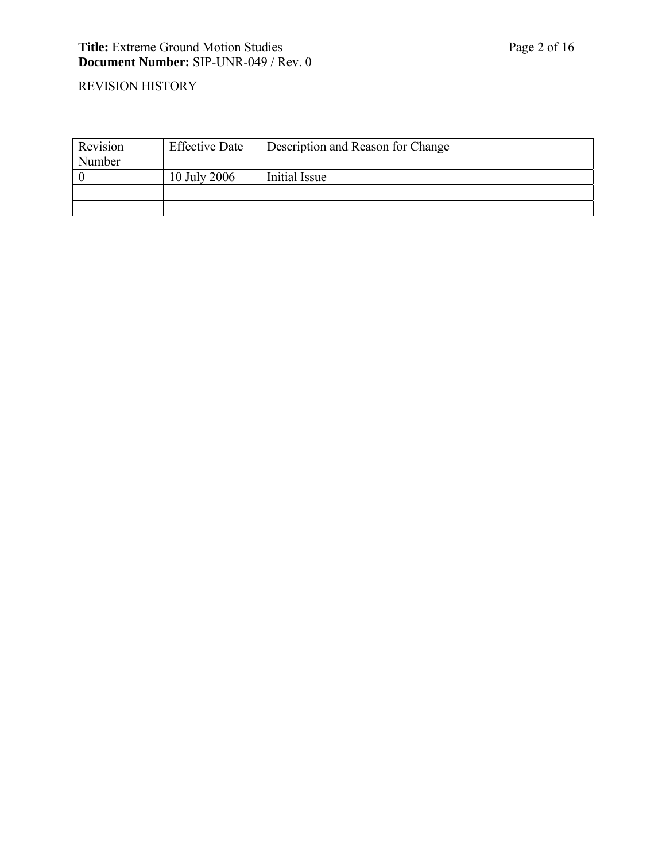#### **Title:** Extreme Ground Motion Studies Page 2 of 16 **Document Number:** SIP-UNR-049 / Rev. 0

### REVISION HISTORY

| Revision      | <b>Effective Date</b> | Description and Reason for Change |  |
|---------------|-----------------------|-----------------------------------|--|
| <b>Number</b> |                       |                                   |  |
|               | 10 July 2006          | Initial Issue                     |  |
|               |                       |                                   |  |
|               |                       |                                   |  |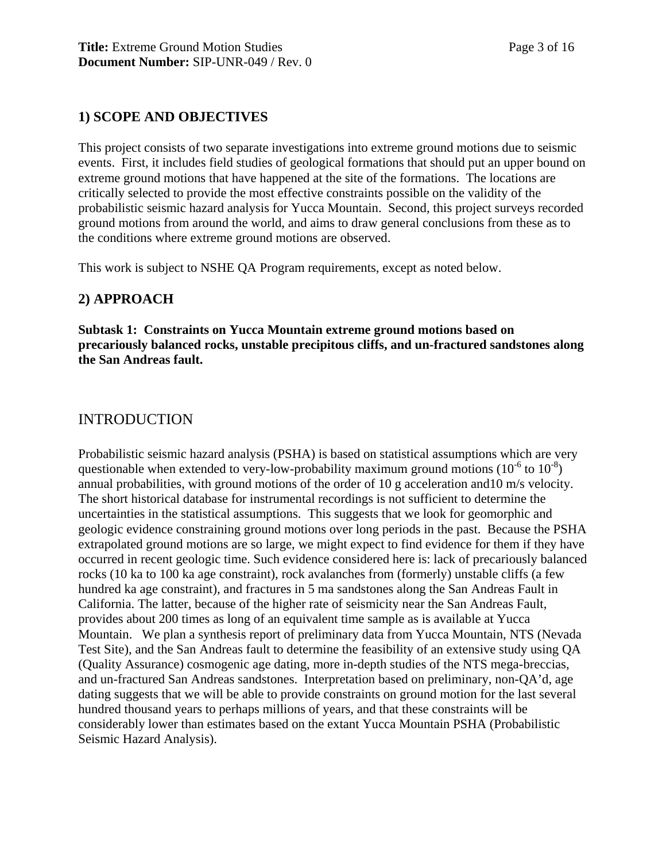#### **1) SCOPE AND OBJECTIVES**

This project consists of two separate investigations into extreme ground motions due to seismic events. First, it includes field studies of geological formations that should put an upper bound on extreme ground motions that have happened at the site of the formations. The locations are critically selected to provide the most effective constraints possible on the validity of the probabilistic seismic hazard analysis for Yucca Mountain. Second, this project surveys recorded ground motions from around the world, and aims to draw general conclusions from these as to the conditions where extreme ground motions are observed.

This work is subject to NSHE QA Program requirements, except as noted below.

### **2) APPROACH**

**Subtask 1: Constraints on Yucca Mountain extreme ground motions based on precariously balanced rocks, unstable precipitous cliffs, and un-fractured sandstones along the San Andreas fault.** 

### INTRODUCTION

Probabilistic seismic hazard analysis (PSHA) is based on statistical assumptions which are very questionable when extended to very-low-probability maximum ground motions  $(10^{-6}$  to  $10^{-8})$ annual probabilities, with ground motions of the order of 10 g acceleration and10 m/s velocity. The short historical database for instrumental recordings is not sufficient to determine the uncertainties in the statistical assumptions. This suggests that we look for geomorphic and geologic evidence constraining ground motions over long periods in the past. Because the PSHA extrapolated ground motions are so large, we might expect to find evidence for them if they have occurred in recent geologic time. Such evidence considered here is: lack of precariously balanced rocks (10 ka to 100 ka age constraint), rock avalanches from (formerly) unstable cliffs (a few hundred ka age constraint), and fractures in 5 ma sandstones along the San Andreas Fault in California. The latter, because of the higher rate of seismicity near the San Andreas Fault, provides about 200 times as long of an equivalent time sample as is available at Yucca Mountain. We plan a synthesis report of preliminary data from Yucca Mountain, NTS (Nevada Test Site), and the San Andreas fault to determine the feasibility of an extensive study using QA (Quality Assurance) cosmogenic age dating, more in-depth studies of the NTS mega-breccias, and un-fractured San Andreas sandstones. Interpretation based on preliminary, non-QA'd, age dating suggests that we will be able to provide constraints on ground motion for the last several hundred thousand years to perhaps millions of years, and that these constraints will be considerably lower than estimates based on the extant Yucca Mountain PSHA (Probabilistic Seismic Hazard Analysis).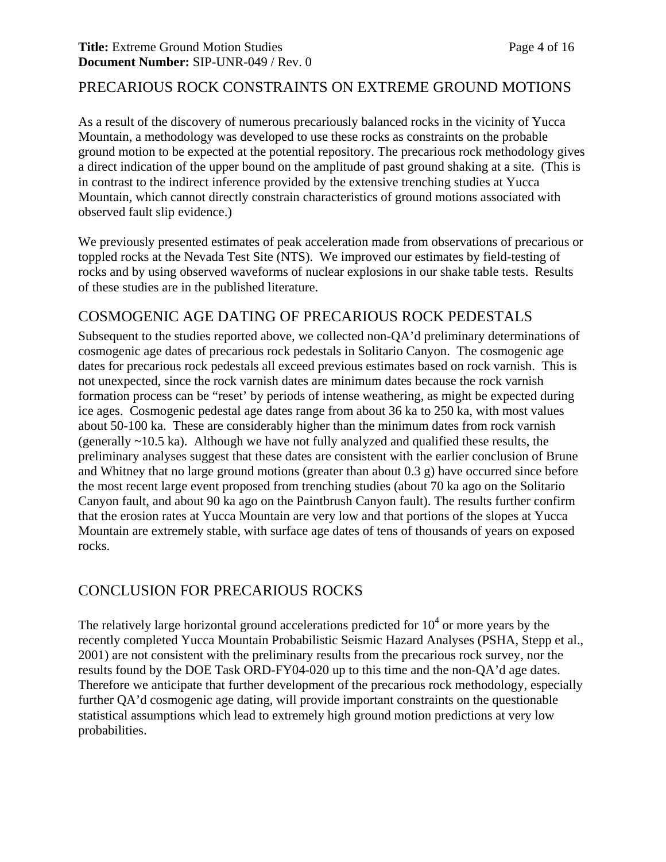#### **Title:** Extreme Ground Motion Studies Page 4 of 16 **Document Number:** SIP-UNR-049 / Rev. 0

### PRECARIOUS ROCK CONSTRAINTS ON EXTREME GROUND MOTIONS

As a result of the discovery of numerous precariously balanced rocks in the vicinity of Yucca Mountain, a methodology was developed to use these rocks as constraints on the probable ground motion to be expected at the potential repository. The precarious rock methodology gives a direct indication of the upper bound on the amplitude of past ground shaking at a site. (This is in contrast to the indirect inference provided by the extensive trenching studies at Yucca Mountain, which cannot directly constrain characteristics of ground motions associated with observed fault slip evidence.)

We previously presented estimates of peak acceleration made from observations of precarious or toppled rocks at the Nevada Test Site (NTS). We improved our estimates by field-testing of rocks and by using observed waveforms of nuclear explosions in our shake table tests. Results of these studies are in the published literature.

## COSMOGENIC AGE DATING OF PRECARIOUS ROCK PEDESTALS

Subsequent to the studies reported above, we collected non-QA'd preliminary determinations of cosmogenic age dates of precarious rock pedestals in Solitario Canyon. The cosmogenic age dates for precarious rock pedestals all exceed previous estimates based on rock varnish. This is not unexpected, since the rock varnish dates are minimum dates because the rock varnish formation process can be "reset' by periods of intense weathering, as might be expected during ice ages. Cosmogenic pedestal age dates range from about 36 ka to 250 ka, with most values about 50-100 ka. These are considerably higher than the minimum dates from rock varnish (generally ~10.5 ka). Although we have not fully analyzed and qualified these results, the preliminary analyses suggest that these dates are consistent with the earlier conclusion of Brune and Whitney that no large ground motions (greater than about 0.3 g) have occurred since before the most recent large event proposed from trenching studies (about 70 ka ago on the Solitario Canyon fault, and about 90 ka ago on the Paintbrush Canyon fault). The results further confirm that the erosion rates at Yucca Mountain are very low and that portions of the slopes at Yucca Mountain are extremely stable, with surface age dates of tens of thousands of years on exposed rocks.

## CONCLUSION FOR PRECARIOUS ROCKS

The relatively large horizontal ground accelerations predicted for  $10<sup>4</sup>$  or more years by the recently completed Yucca Mountain Probabilistic Seismic Hazard Analyses (PSHA, Stepp et al., 2001) are not consistent with the preliminary results from the precarious rock survey, nor the results found by the DOE Task ORD-FY04-020 up to this time and the non-QA'd age dates. Therefore we anticipate that further development of the precarious rock methodology, especially further QA'd cosmogenic age dating, will provide important constraints on the questionable statistical assumptions which lead to extremely high ground motion predictions at very low probabilities.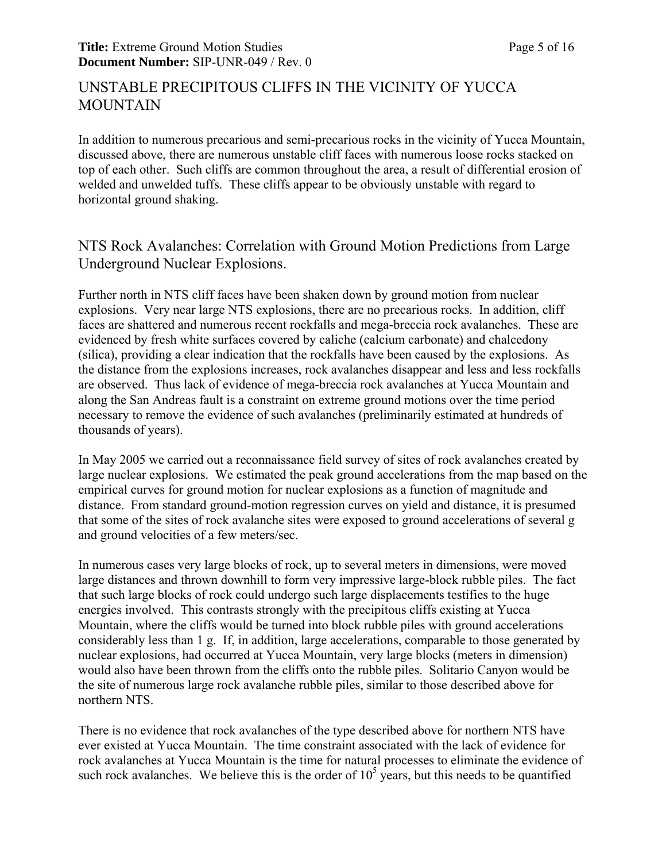## UNSTABLE PRECIPITOUS CLIFFS IN THE VICINITY OF YUCCA MOUNTAIN

In addition to numerous precarious and semi-precarious rocks in the vicinity of Yucca Mountain, discussed above, there are numerous unstable cliff faces with numerous loose rocks stacked on top of each other. Such cliffs are common throughout the area, a result of differential erosion of welded and unwelded tuffs. These cliffs appear to be obviously unstable with regard to horizontal ground shaking.

## NTS Rock Avalanches: Correlation with Ground Motion Predictions from Large Underground Nuclear Explosions.

Further north in NTS cliff faces have been shaken down by ground motion from nuclear explosions. Very near large NTS explosions, there are no precarious rocks. In addition, cliff faces are shattered and numerous recent rockfalls and mega-breccia rock avalanches. These are evidenced by fresh white surfaces covered by caliche (calcium carbonate) and chalcedony (silica), providing a clear indication that the rockfalls have been caused by the explosions. As the distance from the explosions increases, rock avalanches disappear and less and less rockfalls are observed. Thus lack of evidence of mega-breccia rock avalanches at Yucca Mountain and along the San Andreas fault is a constraint on extreme ground motions over the time period necessary to remove the evidence of such avalanches (preliminarily estimated at hundreds of thousands of years).

In May 2005 we carried out a reconnaissance field survey of sites of rock avalanches created by large nuclear explosions. We estimated the peak ground accelerations from the map based on the empirical curves for ground motion for nuclear explosions as a function of magnitude and distance. From standard ground-motion regression curves on yield and distance, it is presumed that some of the sites of rock avalanche sites were exposed to ground accelerations of several g and ground velocities of a few meters/sec.

In numerous cases very large blocks of rock, up to several meters in dimensions, were moved large distances and thrown downhill to form very impressive large-block rubble piles. The fact that such large blocks of rock could undergo such large displacements testifies to the huge energies involved. This contrasts strongly with the precipitous cliffs existing at Yucca Mountain, where the cliffs would be turned into block rubble piles with ground accelerations considerably less than 1 g. If, in addition, large accelerations, comparable to those generated by nuclear explosions, had occurred at Yucca Mountain, very large blocks (meters in dimension) would also have been thrown from the cliffs onto the rubble piles. Solitario Canyon would be the site of numerous large rock avalanche rubble piles, similar to those described above for northern NTS.

There is no evidence that rock avalanches of the type described above for northern NTS have ever existed at Yucca Mountain. The time constraint associated with the lack of evidence for rock avalanches at Yucca Mountain is the time for natural processes to eliminate the evidence of such rock avalanches. We believe this is the order of  $10<sup>5</sup>$  years, but this needs to be quantified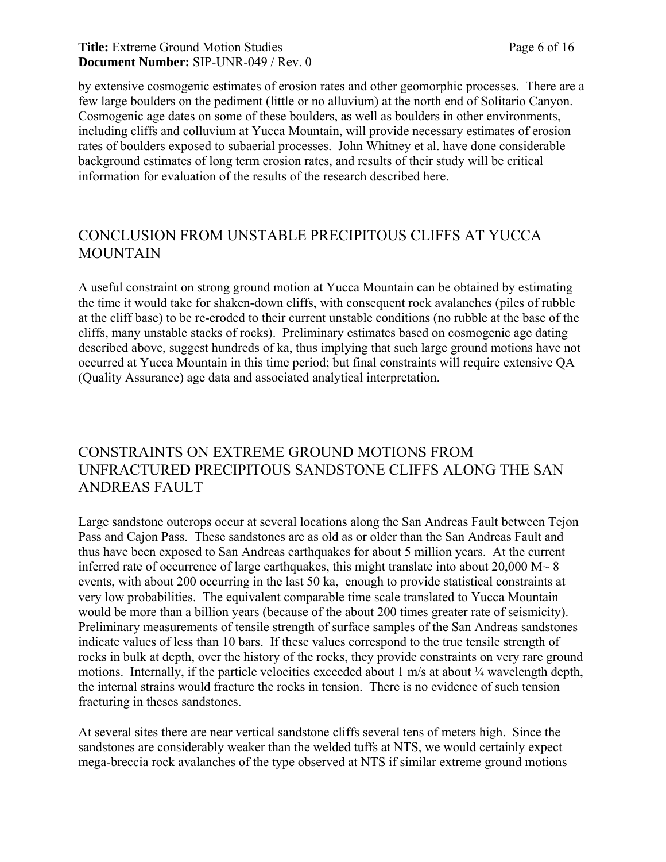#### **Title:** Extreme Ground Motion Studies Page 6 of 16 **Document Number:** SIP-UNR-049 / Rev. 0

by extensive cosmogenic estimates of erosion rates and other geomorphic processes. There are a few large boulders on the pediment (little or no alluvium) at the north end of Solitario Canyon. Cosmogenic age dates on some of these boulders, as well as boulders in other environments, including cliffs and colluvium at Yucca Mountain, will provide necessary estimates of erosion rates of boulders exposed to subaerial processes. John Whitney et al. have done considerable background estimates of long term erosion rates, and results of their study will be critical information for evaluation of the results of the research described here.

## CONCLUSION FROM UNSTABLE PRECIPITOUS CLIFFS AT YUCCA **MOUNTAIN**

A useful constraint on strong ground motion at Yucca Mountain can be obtained by estimating the time it would take for shaken-down cliffs, with consequent rock avalanches (piles of rubble at the cliff base) to be re-eroded to their current unstable conditions (no rubble at the base of the cliffs, many unstable stacks of rocks). Preliminary estimates based on cosmogenic age dating described above, suggest hundreds of ka, thus implying that such large ground motions have not occurred at Yucca Mountain in this time period; but final constraints will require extensive QA (Quality Assurance) age data and associated analytical interpretation.

## CONSTRAINTS ON EXTREME GROUND MOTIONS FROM UNFRACTURED PRECIPITOUS SANDSTONE CLIFFS ALONG THE SAN ANDREAS FAULT

Large sandstone outcrops occur at several locations along the San Andreas Fault between Tejon Pass and Cajon Pass. These sandstones are as old as or older than the San Andreas Fault and thus have been exposed to San Andreas earthquakes for about 5 million years. At the current inferred rate of occurrence of large earthquakes, this might translate into about  $20,000 \text{ M} \sim 8$ events, with about 200 occurring in the last 50 ka, enough to provide statistical constraints at very low probabilities. The equivalent comparable time scale translated to Yucca Mountain would be more than a billion years (because of the about 200 times greater rate of seismicity). Preliminary measurements of tensile strength of surface samples of the San Andreas sandstones indicate values of less than 10 bars. If these values correspond to the true tensile strength of rocks in bulk at depth, over the history of the rocks, they provide constraints on very rare ground motions. Internally, if the particle velocities exceeded about 1 m/s at about  $\frac{1}{4}$  wavelength depth, the internal strains would fracture the rocks in tension. There is no evidence of such tension fracturing in theses sandstones.

At several sites there are near vertical sandstone cliffs several tens of meters high. Since the sandstones are considerably weaker than the welded tuffs at NTS, we would certainly expect mega-breccia rock avalanches of the type observed at NTS if similar extreme ground motions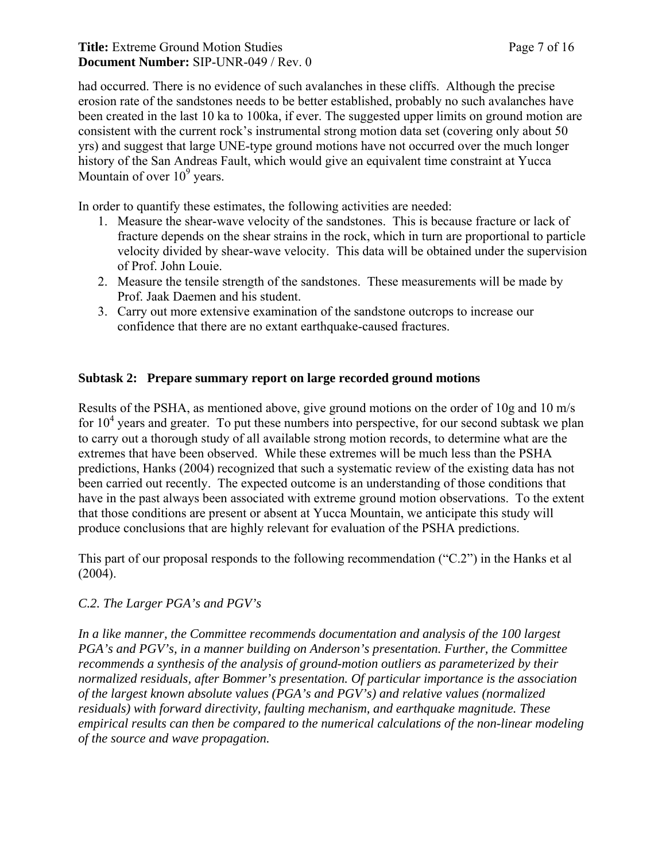#### **Title:** Extreme Ground Motion Studies Page 7 of 16 **Document Number:** SIP-UNR-049 / Rev. 0

had occurred. There is no evidence of such avalanches in these cliffs. Although the precise erosion rate of the sandstones needs to be better established, probably no such avalanches have been created in the last 10 ka to 100ka, if ever. The suggested upper limits on ground motion are consistent with the current rock's instrumental strong motion data set (covering only about 50 yrs) and suggest that large UNE-type ground motions have not occurred over the much longer history of the San Andreas Fault, which would give an equivalent time constraint at Yucca Mountain of over  $10^9$  years.

In order to quantify these estimates, the following activities are needed:

- 1. Measure the shear-wave velocity of the sandstones. This is because fracture or lack of fracture depends on the shear strains in the rock, which in turn are proportional to particle velocity divided by shear-wave velocity. This data will be obtained under the supervision of Prof. John Louie.
- 2. Measure the tensile strength of the sandstones. These measurements will be made by Prof. Jaak Daemen and his student.
- 3. Carry out more extensive examination of the sandstone outcrops to increase our confidence that there are no extant earthquake-caused fractures.

#### **Subtask 2: Prepare summary report on large recorded ground motions**

Results of the PSHA, as mentioned above, give ground motions on the order of 10g and 10 m/s for  $10<sup>4</sup>$  years and greater. To put these numbers into perspective, for our second subtask we plan to carry out a thorough study of all available strong motion records, to determine what are the extremes that have been observed. While these extremes will be much less than the PSHA predictions, Hanks (2004) recognized that such a systematic review of the existing data has not been carried out recently. The expected outcome is an understanding of those conditions that have in the past always been associated with extreme ground motion observations. To the extent that those conditions are present or absent at Yucca Mountain, we anticipate this study will produce conclusions that are highly relevant for evaluation of the PSHA predictions.

This part of our proposal responds to the following recommendation ("C.2") in the Hanks et al (2004).

#### *C.2. The Larger PGA's and PGV's*

*In a like manner, the Committee recommends documentation and analysis of the 100 largest PGA's and PGV's, in a manner building on Anderson's presentation. Further, the Committee recommends a synthesis of the analysis of ground-motion outliers as parameterized by their normalized residuals, after Bommer's presentation. Of particular importance is the association of the largest known absolute values (PGA's and PGV's) and relative values (normalized residuals) with forward directivity, faulting mechanism, and earthquake magnitude. These empirical results can then be compared to the numerical calculations of the non-linear modeling of the source and wave propagation.*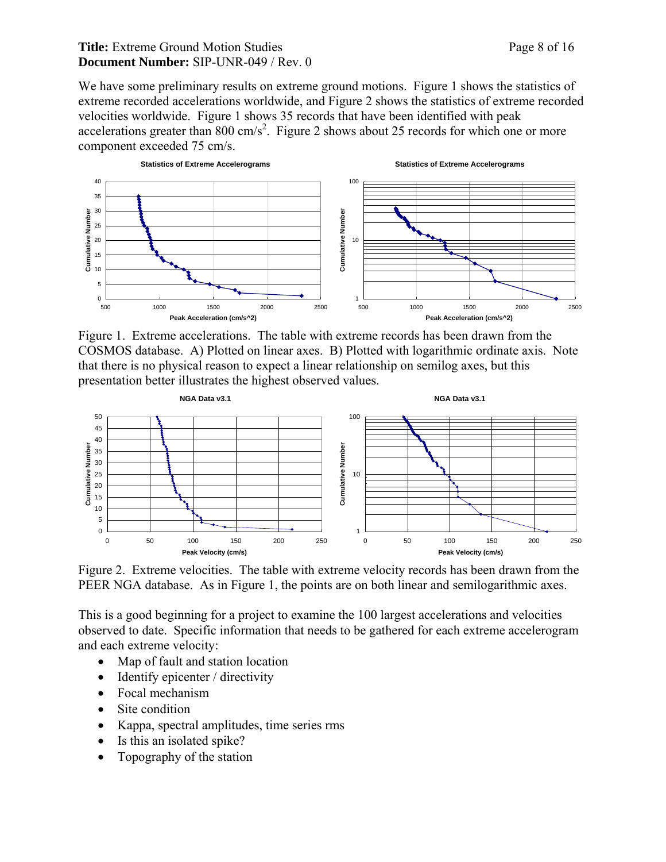#### **Title:** Extreme Ground Motion Studies Page 8 of 16 **Document Number:** SIP-UNR-049 / Rev. 0

We have some preliminary results on extreme ground motions. Figure 1 shows the statistics of extreme recorded accelerations worldwide, and Figure 2 shows the statistics of extreme recorded velocities worldwide. Figure 1 shows 35 records that have been identified with peak accelerations greater than 800 cm/s<sup>2</sup>. Figure 2 shows about 25 records for which one or more component exceeded 75 cm/s.



Figure 1. Extreme accelerations. The table with extreme records has been drawn from the COSMOS database. A) Plotted on linear axes. B) Plotted with logarithmic ordinate axis. Note that there is no physical reason to expect a linear relationship on semilog axes, but this presentation better illustrates the highest observed values.



Figure 2. Extreme velocities. The table with extreme velocity records has been drawn from the PEER NGA database. As in Figure 1, the points are on both linear and semilogarithmic axes.

This is a good beginning for a project to examine the 100 largest accelerations and velocities observed to date. Specific information that needs to be gathered for each extreme accelerogram and each extreme velocity:

- Map of fault and station location
- Identify epicenter / directivity
- Focal mechanism
- Site condition
- Kappa, spectral amplitudes, time series rms
- Is this an isolated spike?
- Topography of the station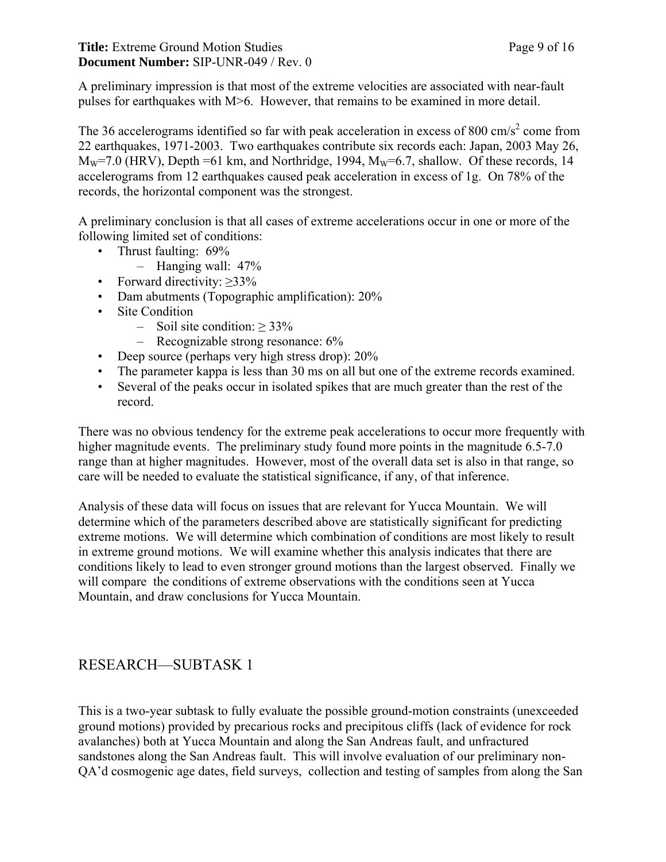A preliminary impression is that most of the extreme velocities are associated with near-fault pulses for earthquakes with M>6. However, that remains to be examined in more detail.

The 36 accelerograms identified so far with peak acceleration in excess of 800 cm/s<sup>2</sup> come from 22 earthquakes, 1971-2003. Two earthquakes contribute six records each: Japan, 2003 May 26,  $M_W$ =7.0 (HRV), Depth =61 km, and Northridge, 1994,  $M_W$ =6.7, shallow. Of these records, 14 accelerograms from 12 earthquakes caused peak acceleration in excess of 1g. On 78% of the records, the horizontal component was the strongest.

A preliminary conclusion is that all cases of extreme accelerations occur in one or more of the following limited set of conditions:

- Thrust faulting: 69%
	- Hanging wall: 47%
- Forward directivity:  $\geq 33\%$
- Dam abutments (Topographic amplification): 20%
- Site Condition
	- $-$  Soil site condition:  $> 33\%$
	- Recognizable strong resonance: 6%
- Deep source (perhaps very high stress drop):  $20\%$
- The parameter kappa is less than 30 ms on all but one of the extreme records examined.
- Several of the peaks occur in isolated spikes that are much greater than the rest of the record.

There was no obvious tendency for the extreme peak accelerations to occur more frequently with higher magnitude events. The preliminary study found more points in the magnitude 6.5-7.0 range than at higher magnitudes. However, most of the overall data set is also in that range, so care will be needed to evaluate the statistical significance, if any, of that inference.

Analysis of these data will focus on issues that are relevant for Yucca Mountain. We will determine which of the parameters described above are statistically significant for predicting extreme motions. We will determine which combination of conditions are most likely to result in extreme ground motions. We will examine whether this analysis indicates that there are conditions likely to lead to even stronger ground motions than the largest observed. Finally we will compare the conditions of extreme observations with the conditions seen at Yucca Mountain, and draw conclusions for Yucca Mountain.

## RESEARCH—SUBTASK 1

This is a two-year subtask to fully evaluate the possible ground-motion constraints (unexceeded ground motions) provided by precarious rocks and precipitous cliffs (lack of evidence for rock avalanches) both at Yucca Mountain and along the San Andreas fault, and unfractured sandstones along the San Andreas fault. This will involve evaluation of our preliminary non-QA'd cosmogenic age dates, field surveys, collection and testing of samples from along the San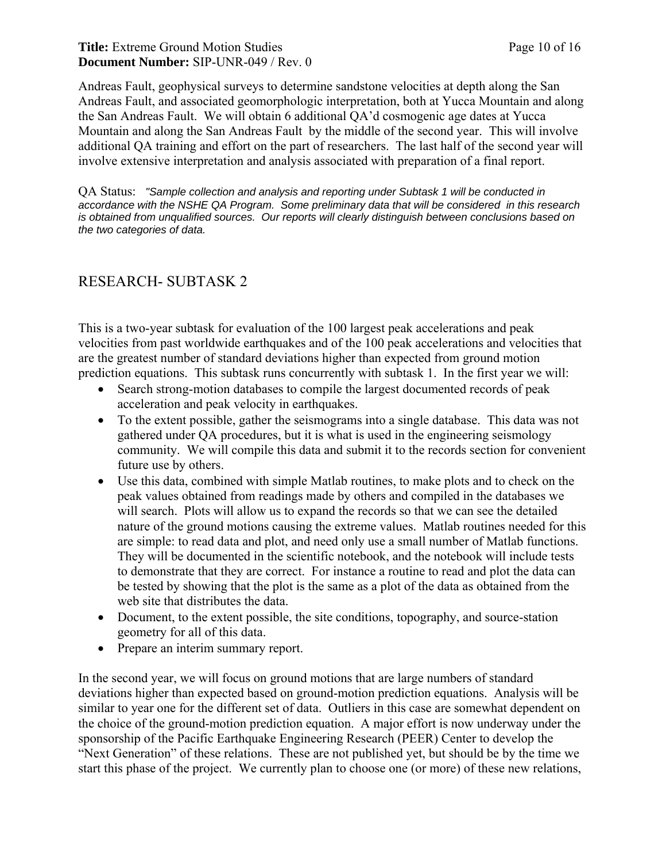#### **Title:** Extreme Ground Motion Studies Page 10 of 16 **Document Number:** SIP-UNR-049 / Rev. 0

Andreas Fault, geophysical surveys to determine sandstone velocities at depth along the San Andreas Fault, and associated geomorphologic interpretation, both at Yucca Mountain and along the San Andreas Fault. We will obtain 6 additional QA'd cosmogenic age dates at Yucca Mountain and along the San Andreas Fault by the middle of the second year. This will involve additional QA training and effort on the part of researchers. The last half of the second year will involve extensive interpretation and analysis associated with preparation of a final report.

QA Status: *"Sample collection and analysis and reporting under Subtask 1 will be conducted in accordance with the NSHE QA Program. Some preliminary data that will be considered in this research is obtained from unqualified sources. Our reports will clearly distinguish between conclusions based on the two categories of data.* 

## RESEARCH- SUBTASK 2

This is a two-year subtask for evaluation of the 100 largest peak accelerations and peak velocities from past worldwide earthquakes and of the 100 peak accelerations and velocities that are the greatest number of standard deviations higher than expected from ground motion prediction equations. This subtask runs concurrently with subtask 1. In the first year we will:

- Search strong-motion databases to compile the largest documented records of peak acceleration and peak velocity in earthquakes.
- To the extent possible, gather the seismograms into a single database. This data was not gathered under QA procedures, but it is what is used in the engineering seismology community. We will compile this data and submit it to the records section for convenient future use by others.
- Use this data, combined with simple Matlab routines, to make plots and to check on the peak values obtained from readings made by others and compiled in the databases we will search. Plots will allow us to expand the records so that we can see the detailed nature of the ground motions causing the extreme values. Matlab routines needed for this are simple: to read data and plot, and need only use a small number of Matlab functions. They will be documented in the scientific notebook, and the notebook will include tests to demonstrate that they are correct. For instance a routine to read and plot the data can be tested by showing that the plot is the same as a plot of the data as obtained from the web site that distributes the data.
- Document, to the extent possible, the site conditions, topography, and source-station geometry for all of this data.
- Prepare an interim summary report.

In the second year, we will focus on ground motions that are large numbers of standard deviations higher than expected based on ground-motion prediction equations. Analysis will be similar to year one for the different set of data. Outliers in this case are somewhat dependent on the choice of the ground-motion prediction equation. A major effort is now underway under the sponsorship of the Pacific Earthquake Engineering Research (PEER) Center to develop the "Next Generation" of these relations. These are not published yet, but should be by the time we start this phase of the project. We currently plan to choose one (or more) of these new relations,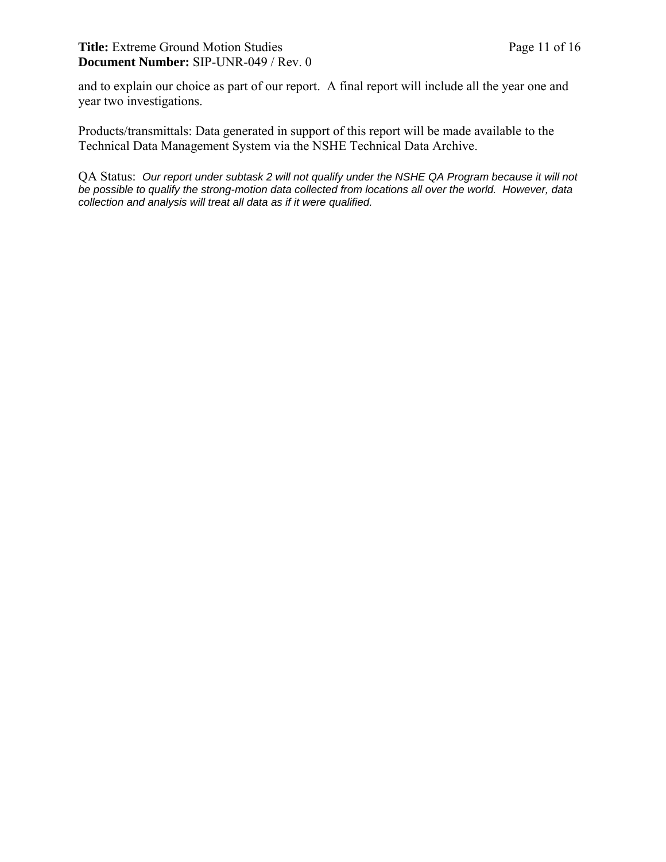#### Title: Extreme Ground Motion Studies Page 11 of 16 **Document Number:** SIP-UNR-049 / Rev. 0

and to explain our choice as part of our report. A final report will include all the year one and year two investigations.

Products/transmittals: Data generated in support of this report will be made available to the Technical Data Management System via the NSHE Technical Data Archive.

QA Status: *Our report under subtask 2 will not qualify under the NSHE QA Program because it will not be possible to qualify the strong-motion data collected from locations all over the world. However, data collection and analysis will treat all data as if it were qualified.*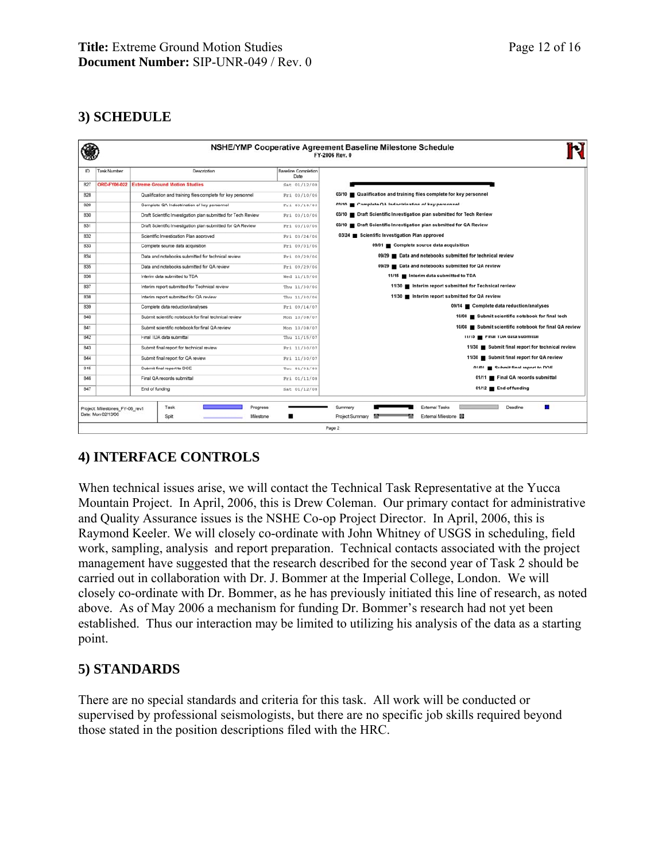## **3) SCHEDULE**

|     |                                                    |                                                               |                                    | NSHE/YMP Cooperative Agreement Baseline Milestone Schedule<br>FY-2006 Rev. 0 |
|-----|----------------------------------------------------|---------------------------------------------------------------|------------------------------------|------------------------------------------------------------------------------|
| ID  | <b>Task Number</b>                                 | Description                                                   | <b>Baseline Completion</b><br>Date |                                                                              |
| 827 | <b>ORD-FY06-022</b>                                | <b>Extreme Ground Motion Studies</b>                          | Sat 01/12/08                       |                                                                              |
| 828 |                                                    | Qualification and training files complete for key personnel   | Fri 03/10/06                       | 03/10 Qualification and training files complete for key personnel            |
| 829 |                                                    | Complete QA Indoctrination of key personnel                   | Pri 03/10/06                       | 03/10 Complete QA Indoctrination of key personnel                            |
| 830 |                                                    | Draft Scientific Investigation plan submitted for Tech Review | Fri 03/10/06                       | 03/10 <b>Draft Scientific Investigation plan submitted for Tech Review</b>   |
| 831 |                                                    | Draft Scientific Investigation plan submitted for QA Review   | Fri 03/10/06                       | 03/10 Draft Scientific Investigation plan submitted for QA Review            |
| 832 |                                                    | Scientific Investigation Plan approved                        |                                    | 03/24 Scientific Investigation Plan approved                                 |
| 833 |                                                    | Complete source data acquisition                              | Fri 09/01/06                       | 09/01 Complete source data acquisition                                       |
| 834 |                                                    | Data and notebooks submitted for technical review             | Fri 09/29/06                       | 09/29 Data and notebooks submitted for technical review                      |
| 835 |                                                    | Data and notebooks submitted for QA review                    | Fri 09/29/06                       | 09/29 Data and notebooks submitted for QA review                             |
| 836 |                                                    | Interim data submitted to TDA                                 | Wed 11/15/06                       | 11/15   Interim data submitted to TDA                                        |
| 837 |                                                    | Interim report submitted for Technical review                 |                                    | 11/30 Interim report submitted for Technical review                          |
| 838 |                                                    | Interim report submitted for QA review                        | Thu 11/30/06                       | 11/30 Interim report submitted for QA review                                 |
| 839 |                                                    | Complete data reduction/analyses                              |                                    | 09/14 Complete data reduction/analyses                                       |
| 840 |                                                    | Submit scientific notebook for final technical review         | Mon 10/08/07                       | 10/08 Submit scientific notebook for final tech                              |
| 841 |                                                    | Submit scientific notebook for final QA review                | Mon 10/08/07                       | 10/08 Submit scientific notebook for final QA review                         |
| 842 |                                                    | Final TDA data submittal                                      |                                    | 11/15   Final TDA data submittal                                             |
| 843 |                                                    | Submit final report for technical review                      |                                    | 11/30 Submit final report for technical review                               |
| 844 |                                                    | Submit final report for QA review                             |                                    | 11/30 Submit final report for QA review                                      |
| 845 | Submit final report to DOE                         |                                                               | Tuc 01/01/08                       | 01/01 Submit final report to DOF                                             |
| 846 |                                                    | Final QA records submittal                                    |                                    | 01/11 Final QA records submittal                                             |
| 847 |                                                    | End of funding                                                | Sat 01/12/08                       | 01/12 End of funding                                                         |
|     | Progress<br>Task<br>Project: Milestones_FY-06_rev1 |                                                               |                                    | ш<br><b>External Tasks</b><br>Deadine<br>Summary                             |
|     | Date: Mon 02/13/06                                 | Milestone<br>Split                                            | ■                                  | External Milestone<br>Project Summary<br>m                                   |
|     |                                                    |                                                               |                                    | Page 2                                                                       |

### **4) INTERFACE CONTROLS**

When technical issues arise, we will contact the Technical Task Representative at the Yucca Mountain Project. In April, 2006, this is Drew Coleman. Our primary contact for administrative and Quality Assurance issues is the NSHE Co-op Project Director. In April, 2006, this is Raymond Keeler. We will closely co-ordinate with John Whitney of USGS in scheduling, field work, sampling, analysis and report preparation. Technical contacts associated with the project management have suggested that the research described for the second year of Task 2 should be carried out in collaboration with Dr. J. Bommer at the Imperial College, London. We will closely co-ordinate with Dr. Bommer, as he has previously initiated this line of research, as noted above. As of May 2006 a mechanism for funding Dr. Bommer's research had not yet been established. Thus our interaction may be limited to utilizing his analysis of the data as a starting point.

#### **5) STANDARDS**

There are no special standards and criteria for this task. All work will be conducted or supervised by professional seismologists, but there are no specific job skills required beyond those stated in the position descriptions filed with the HRC.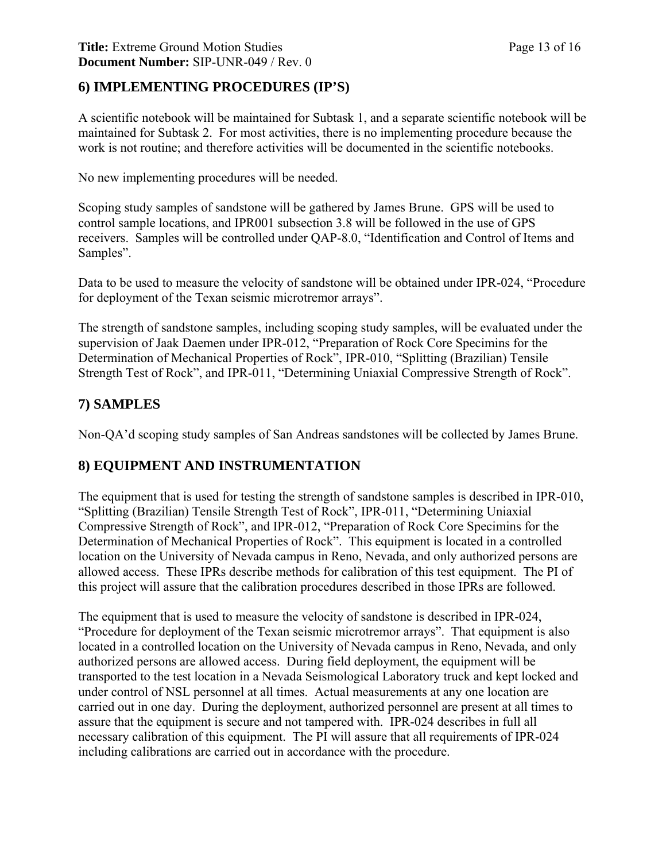#### **Title:** Extreme Ground Motion Studies Page 13 of 16 **Document Number:** SIP-UNR-049 / Rev. 0

### **6) IMPLEMENTING PROCEDURES (IP'S)**

A scientific notebook will be maintained for Subtask 1, and a separate scientific notebook will be maintained for Subtask 2. For most activities, there is no implementing procedure because the work is not routine; and therefore activities will be documented in the scientific notebooks.

No new implementing procedures will be needed.

Scoping study samples of sandstone will be gathered by James Brune. GPS will be used to control sample locations, and IPR001 subsection 3.8 will be followed in the use of GPS receivers. Samples will be controlled under QAP-8.0, "Identification and Control of Items and Samples".

Data to be used to measure the velocity of sandstone will be obtained under IPR-024, "Procedure for deployment of the Texan seismic microtremor arrays".

The strength of sandstone samples, including scoping study samples, will be evaluated under the supervision of Jaak Daemen under IPR-012, "Preparation of Rock Core Specimins for the Determination of Mechanical Properties of Rock", IPR-010, "Splitting (Brazilian) Tensile Strength Test of Rock", and IPR-011, "Determining Uniaxial Compressive Strength of Rock".

### **7) SAMPLES**

Non-QA'd scoping study samples of San Andreas sandstones will be collected by James Brune.

### **8) EQUIPMENT AND INSTRUMENTATION**

The equipment that is used for testing the strength of sandstone samples is described in IPR-010, "Splitting (Brazilian) Tensile Strength Test of Rock", IPR-011, "Determining Uniaxial Compressive Strength of Rock", and IPR-012, "Preparation of Rock Core Specimins for the Determination of Mechanical Properties of Rock". This equipment is located in a controlled location on the University of Nevada campus in Reno, Nevada, and only authorized persons are allowed access. These IPRs describe methods for calibration of this test equipment. The PI of this project will assure that the calibration procedures described in those IPRs are followed.

The equipment that is used to measure the velocity of sandstone is described in IPR-024, "Procedure for deployment of the Texan seismic microtremor arrays". That equipment is also located in a controlled location on the University of Nevada campus in Reno, Nevada, and only authorized persons are allowed access. During field deployment, the equipment will be transported to the test location in a Nevada Seismological Laboratory truck and kept locked and under control of NSL personnel at all times. Actual measurements at any one location are carried out in one day. During the deployment, authorized personnel are present at all times to assure that the equipment is secure and not tampered with. IPR-024 describes in full all necessary calibration of this equipment. The PI will assure that all requirements of IPR-024 including calibrations are carried out in accordance with the procedure.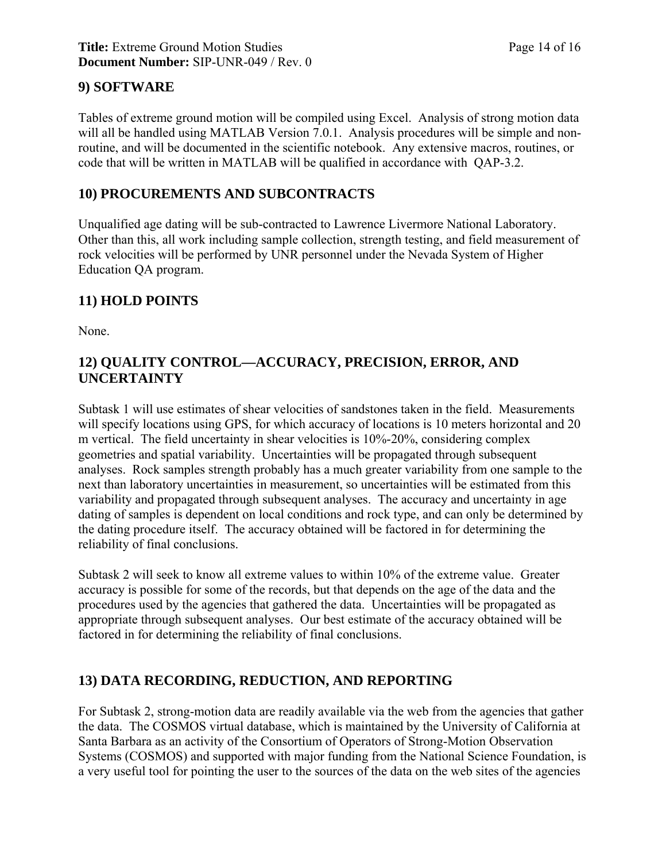### **9) SOFTWARE**

Tables of extreme ground motion will be compiled using Excel. Analysis of strong motion data will all be handled using MATLAB Version 7.0.1. Analysis procedures will be simple and nonroutine, and will be documented in the scientific notebook. Any extensive macros, routines, or code that will be written in MATLAB will be qualified in accordance with QAP-3.2.

### **10) PROCUREMENTS AND SUBCONTRACTS**

Unqualified age dating will be sub-contracted to Lawrence Livermore National Laboratory. Other than this, all work including sample collection, strength testing, and field measurement of rock velocities will be performed by UNR personnel under the Nevada System of Higher Education QA program.

### **11) HOLD POINTS**

None.

### **12) QUALITY CONTROL—ACCURACY, PRECISION, ERROR, AND UNCERTAINTY**

Subtask 1 will use estimates of shear velocities of sandstones taken in the field. Measurements will specify locations using GPS, for which accuracy of locations is 10 meters horizontal and 20 m vertical. The field uncertainty in shear velocities is 10%-20%, considering complex geometries and spatial variability. Uncertainties will be propagated through subsequent analyses. Rock samples strength probably has a much greater variability from one sample to the next than laboratory uncertainties in measurement, so uncertainties will be estimated from this variability and propagated through subsequent analyses. The accuracy and uncertainty in age dating of samples is dependent on local conditions and rock type, and can only be determined by the dating procedure itself. The accuracy obtained will be factored in for determining the reliability of final conclusions.

Subtask 2 will seek to know all extreme values to within 10% of the extreme value. Greater accuracy is possible for some of the records, but that depends on the age of the data and the procedures used by the agencies that gathered the data. Uncertainties will be propagated as appropriate through subsequent analyses. Our best estimate of the accuracy obtained will be factored in for determining the reliability of final conclusions.

## **13) DATA RECORDING, REDUCTION, AND REPORTING**

For Subtask 2, strong-motion data are readily available via the web from the agencies that gather the data. The COSMOS virtual database, which is maintained by the University of California at Santa Barbara as an activity of the Consortium of Operators of Strong-Motion Observation Systems (COSMOS) and supported with major funding from the National Science Foundation, is a very useful tool for pointing the user to the sources of the data on the web sites of the agencies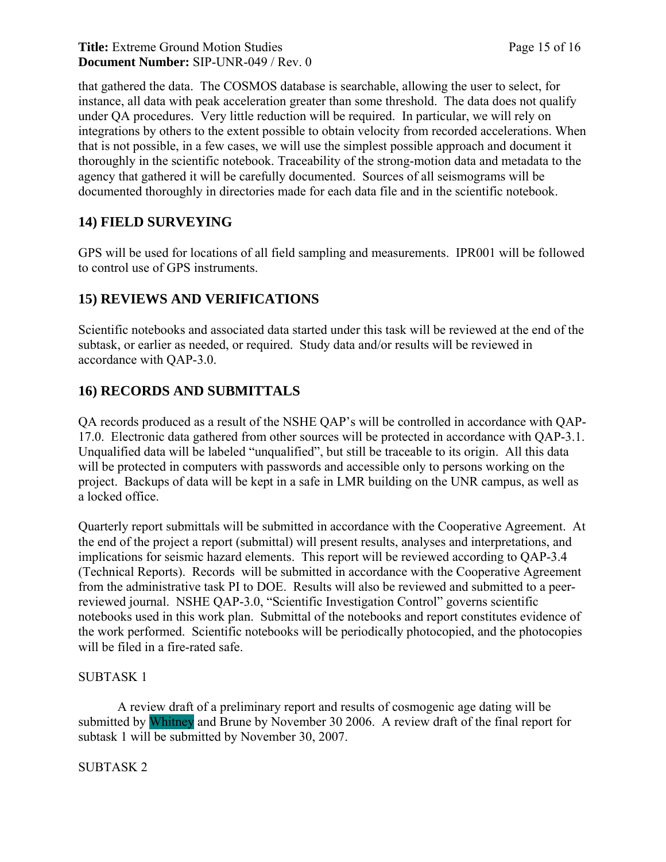#### **Title:** Extreme Ground Motion Studies Page 15 of 16 **Document Number:** SIP-UNR-049 / Rev. 0

that gathered the data. The COSMOS database is searchable, allowing the user to select, for instance, all data with peak acceleration greater than some threshold. The data does not qualify under QA procedures. Very little reduction will be required. In particular, we will rely on integrations by others to the extent possible to obtain velocity from recorded accelerations. When that is not possible, in a few cases, we will use the simplest possible approach and document it thoroughly in the scientific notebook. Traceability of the strong-motion data and metadata to the agency that gathered it will be carefully documented. Sources of all seismograms will be documented thoroughly in directories made for each data file and in the scientific notebook.

## **14) FIELD SURVEYING**

GPS will be used for locations of all field sampling and measurements. IPR001 will be followed to control use of GPS instruments.

## **15) REVIEWS AND VERIFICATIONS**

Scientific notebooks and associated data started under this task will be reviewed at the end of the subtask, or earlier as needed, or required. Study data and/or results will be reviewed in accordance with QAP-3.0.

## **16) RECORDS AND SUBMITTALS**

QA records produced as a result of the NSHE QAP's will be controlled in accordance with QAP-17.0. Electronic data gathered from other sources will be protected in accordance with QAP-3.1. Unqualified data will be labeled "unqualified", but still be traceable to its origin. All this data will be protected in computers with passwords and accessible only to persons working on the project. Backups of data will be kept in a safe in LMR building on the UNR campus, as well as a locked office.

Quarterly report submittals will be submitted in accordance with the Cooperative Agreement. At the end of the project a report (submittal) will present results, analyses and interpretations, and implications for seismic hazard elements. This report will be reviewed according to QAP-3.4 (Technical Reports). Records will be submitted in accordance with the Cooperative Agreement from the administrative task PI to DOE. Results will also be reviewed and submitted to a peerreviewed journal. NSHE QAP-3.0, "Scientific Investigation Control" governs scientific notebooks used in this work plan. Submittal of the notebooks and report constitutes evidence of the work performed. Scientific notebooks will be periodically photocopied, and the photocopies will be filed in a fire-rated safe.

#### SUBTASK 1

 A review draft of a preliminary report and results of cosmogenic age dating will be submitted by Whitney and Brune by November 30 2006. A review draft of the final report for subtask 1 will be submitted by November 30, 2007.

#### SUBTASK 2